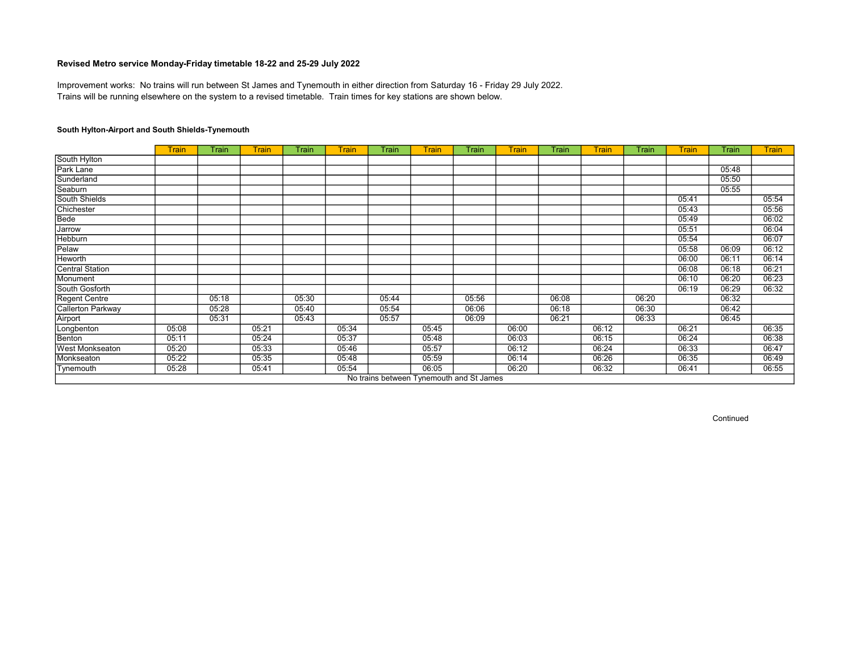Trains will be running elsewhere on the system to a revised timetable. Train times for key stations are shown below. Improvement works: No trains will run between St James and Tynemouth in either direction from Saturday 16 - Friday 29 July 2022.

#### South Hylton-Airport and South Shields-Tynemouth

|                        | Train | Train | <b>Train</b> | Train | <b>Train</b> | Train | <b>Train</b>                             | Train | <b>Train</b> | Train | <b>Train</b> | Train | <b>Train</b> | Train | <b>Train</b> |
|------------------------|-------|-------|--------------|-------|--------------|-------|------------------------------------------|-------|--------------|-------|--------------|-------|--------------|-------|--------------|
| South Hylton           |       |       |              |       |              |       |                                          |       |              |       |              |       |              |       |              |
| Park Lane              |       |       |              |       |              |       |                                          |       |              |       |              |       |              | 05:48 |              |
| Sunderland             |       |       |              |       |              |       |                                          |       |              |       |              |       |              | 05:50 |              |
| Seaburn                |       |       |              |       |              |       |                                          |       |              |       |              |       |              | 05:55 |              |
| South Shields          |       |       |              |       |              |       |                                          |       |              |       |              |       | 05:41        |       | 05:54        |
| Chichester             |       |       |              |       |              |       |                                          |       |              |       |              |       | 05:43        |       | 05:56        |
| Bede                   |       |       |              |       |              |       |                                          |       |              |       |              |       | 05:49        |       | 06:02        |
| Jarrow                 |       |       |              |       |              |       |                                          |       |              |       |              |       | 05:51        |       | 06:04        |
| Hebburn                |       |       |              |       |              |       |                                          |       |              |       |              |       | 05:54        |       | 06:07        |
| Pelaw                  |       |       |              |       |              |       |                                          |       |              |       |              |       | 05:58        | 06:09 | 06:12        |
| Heworth                |       |       |              |       |              |       |                                          |       |              |       |              |       | 06:00        | 06:11 | 06:14        |
| <b>Central Station</b> |       |       |              |       |              |       |                                          |       |              |       |              |       | 06:08        | 06:18 | 06:21        |
| Monument               |       |       |              |       |              |       |                                          |       |              |       |              |       | 06:10        | 06:20 | 06:23        |
| South Gosforth         |       |       |              |       |              |       |                                          |       |              |       |              |       | 06:19        | 06:29 | 06:32        |
| Regent Centre          |       | 05:18 |              | 05:30 |              | 05:44 |                                          | 05:56 |              | 06:08 |              | 06:20 |              | 06:32 |              |
| Callerton Parkway      |       | 05:28 |              | 05:40 |              | 05:54 |                                          | 06:06 |              | 06:18 |              | 06:30 |              | 06:42 |              |
| Airport                |       | 05:31 |              | 05:43 |              | 05:57 |                                          | 06:09 |              | 06:21 |              | 06:33 |              | 06:45 |              |
| Longbenton             | 05:08 |       | 05:21        |       | 05:34        |       | 05:45                                    |       | 06:00        |       | 06:12        |       | 06:21        |       | 06:35        |
| Benton                 | 05:11 |       | 05:24        |       | 05:37        |       | 05:48                                    |       | 06:03        |       | 06:15        |       | 06:24        |       | 06:38        |
| West Monkseaton        | 05:20 |       | 05:33        |       | 05:46        |       | 05:57                                    |       | 06:12        |       | 06:24        |       | 06:33        |       | 06:47        |
| Monkseaton             | 05:22 |       | 05:35        |       | 05:48        |       | 05:59                                    |       | 06:14        |       | 06:26        |       | 06:35        |       | 06:49        |
| Tynemouth              | 05:28 |       | 05:41        |       | 05:54        |       | 06:05                                    |       | 06:20        |       | 06:32        |       | 06:41        |       | 06:55        |
|                        |       |       |              |       |              |       | No trains between Tynemouth and St James |       |              |       |              |       |              |       |              |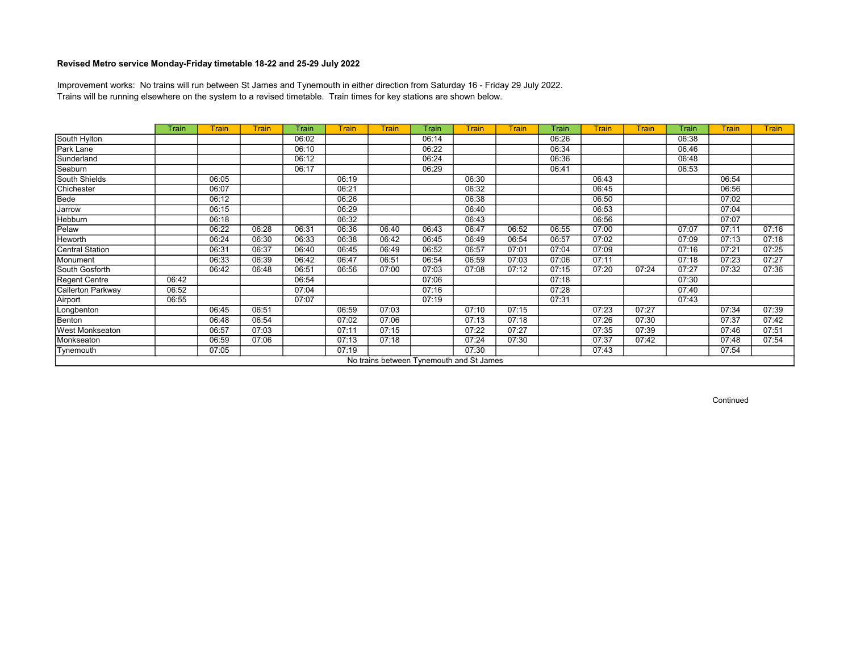Trains will be running elsewhere on the system to a revised timetable. Train times for key stations are shown below. Improvement works: No trains will run between St James and Tynemouth in either direction from Saturday 16 - Friday 29 July 2022.

|                        | Train | Train | Train | Train | <b>Train</b> | <b>Train</b> | Train | <b>Train</b>                             | <b>Train</b> | Train | <b>Train</b> | <b>Train</b> | Train | <b>Train</b> | <b>Train</b> |
|------------------------|-------|-------|-------|-------|--------------|--------------|-------|------------------------------------------|--------------|-------|--------------|--------------|-------|--------------|--------------|
| South Hylton           |       |       |       | 06:02 |              |              | 06:14 |                                          |              | 06:26 |              |              | 06:38 |              |              |
| Park Lane              |       |       |       | 06:10 |              |              | 06:22 |                                          |              | 06:34 |              |              | 06:46 |              |              |
| Sunderland             |       |       |       | 06:12 |              |              | 06:24 |                                          |              | 06:36 |              |              | 06:48 |              |              |
| Seaburn                |       |       |       | 06:17 |              |              | 06:29 |                                          |              | 06:41 |              |              | 06:53 |              |              |
| South Shields          |       | 06:05 |       |       | 06:19        |              |       | 06:30                                    |              |       | 06:43        |              |       | 06:54        |              |
| Chichester             |       | 06:07 |       |       | 06:21        |              |       | 06:32                                    |              |       | 06:45        |              |       | 06:56        |              |
| Bede                   |       | 06:12 |       |       | 06:26        |              |       | 06:38                                    |              |       | 06:50        |              |       | 07:02        |              |
| Jarrow                 |       | 06:15 |       |       | 06:29        |              |       | 06:40                                    |              |       | 06:53        |              |       | 07:04        |              |
| Hebburn                |       | 06:18 |       |       | 06:32        |              |       | 06:43                                    |              |       | 06:56        |              |       | 07:07        |              |
| Pelaw                  |       | 06:22 | 06:28 | 06:31 | 06:36        | 06:40        | 06:43 | 06:47                                    | 06:52        | 06:55 | 07:00        |              | 07:07 | 07:11        | 07:16        |
| Heworth                |       | 06:24 | 06:30 | 06:33 | 06:38        | 06:42        | 06:45 | 06:49                                    | 06:54        | 06:57 | 07:02        |              | 07:09 | 07:13        | 07:18        |
| Central Station        |       | 06:31 | 06:37 | 06:40 | 06:45        | 06:49        | 06:52 | 06:57                                    | 07:01        | 07:04 | 07:09        |              | 07:16 | 07:21        | 07:25        |
| Monument               |       | 06:33 | 06:39 | 06:42 | 06:47        | 06:51        | 06:54 | 06:59                                    | 07:03        | 07:06 | 07:11        |              | 07:18 | 07:23        | 07:27        |
| South Gosforth         |       | 06:42 | 06:48 | 06:51 | 06:56        | 07:00        | 07:03 | 07:08                                    | 07:12        | 07:15 | 07:20        | 07:24        | 07:27 | 07:32        | 07:36        |
| Regent Centre          | 06:42 |       |       | 06:54 |              |              | 07:06 |                                          |              | 07:18 |              |              | 07:30 |              |              |
| Callerton Parkway      | 06:52 |       |       | 07:04 |              |              | 07:16 |                                          |              | 07:28 |              |              | 07:40 |              |              |
| Airport                | 06:55 |       |       | 07:07 |              |              | 07:19 |                                          |              | 07:31 |              |              | 07:43 |              |              |
| Longbenton             |       | 06:45 | 06:51 |       | 06:59        | 07:03        |       | 07:10                                    | 07:15        |       | 07:23        | 07:27        |       | 07:34        | 07:39        |
| Benton                 |       | 06:48 | 06:54 |       | 07:02        | 07:06        |       | 07:13                                    | 07:18        |       | 07:26        | 07:30        |       | 07:37        | 07:42        |
| <b>West Monkseaton</b> |       | 06:57 | 07:03 |       | 07:11        | 07:15        |       | 07:22                                    | 07:27        |       | 07:35        | 07:39        |       | 07:46        | 07:51        |
| Monkseaton             |       | 06:59 | 07:06 |       | 07:13        | 07:18        |       | 07:24                                    | 07:30        |       | 07:37        | 07:42        |       | 07:48        | 07:54        |
| Tynemouth              |       | 07:05 |       |       | 07:19        |              |       | 07:30                                    |              |       | 07:43        |              |       | 07:54        |              |
|                        |       |       |       |       |              |              |       | No trains between Tynemouth and St James |              |       |              |              |       |              |              |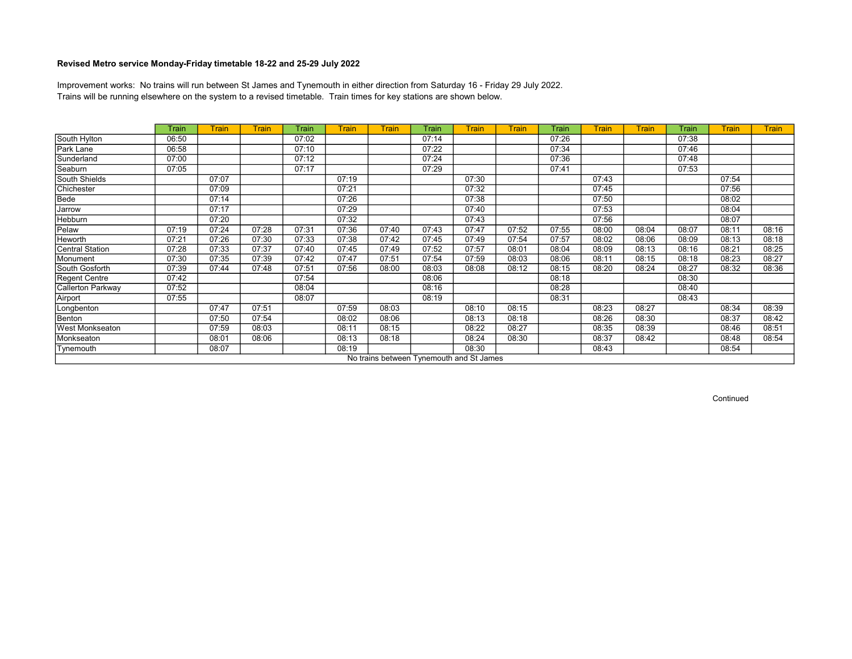Trains will be running elsewhere on the system to a revised timetable. Train times for key stations are shown below. Improvement works: No trains will run between St James and Tynemouth in either direction from Saturday 16 - Friday 29 July 2022.

|                        | Train | Train | <b>Train</b> | Train | <b>Train</b> | <b>Train</b> | Train | Train                                    | <b>Train</b> | Train | <b>Train</b> | <b>Train</b> | Train | <b>Train</b> | <b>Train</b> |
|------------------------|-------|-------|--------------|-------|--------------|--------------|-------|------------------------------------------|--------------|-------|--------------|--------------|-------|--------------|--------------|
| South Hylton           | 06:50 |       |              | 07:02 |              |              | 07:14 |                                          |              | 07:26 |              |              | 07:38 |              |              |
| Park Lane              | 06:58 |       |              | 07:10 |              |              | 07:22 |                                          |              | 07:34 |              |              | 07:46 |              |              |
| Sunderland             | 07:00 |       |              | 07:12 |              |              | 07:24 |                                          |              | 07:36 |              |              | 07:48 |              |              |
| Seaburn                | 07:05 |       |              | 07:17 |              |              | 07:29 |                                          |              | 07:41 |              |              | 07:53 |              |              |
| South Shields          |       | 07:07 |              |       | 07:19        |              |       | 07:30                                    |              |       | 07:43        |              |       | 07:54        |              |
| Chichester             |       | 07:09 |              |       | 07:21        |              |       | 07:32                                    |              |       | 07:45        |              |       | 07:56        |              |
| Bede                   |       | 07:14 |              |       | 07:26        |              |       | 07:38                                    |              |       | 07:50        |              |       | 08:02        |              |
| Jarrow                 |       | 07:17 |              |       | 07:29        |              |       | 07:40                                    |              |       | 07:53        |              |       | 08:04        |              |
| Hebburn                |       | 07:20 |              |       | 07:32        |              |       | 07:43                                    |              |       | 07:56        |              |       | 08:07        |              |
| Pelaw                  | 07:19 | 07:24 | 07:28        | 07:31 | 07:36        | 07:40        | 07:43 | 07:47                                    | 07:52        | 07:55 | 08:00        | 08:04        | 08:07 | 08:11        | 08:16        |
| Heworth                | 07:21 | 07:26 | 07:30        | 07:33 | 07:38        | 07:42        | 07:45 | 07:49                                    | 07:54        | 07:57 | 08:02        | 08:06        | 08:09 | 08:13        | 08:18        |
| Central Station        | 07:28 | 07:33 | 07:37        | 07:40 | 07:45        | 07:49        | 07:52 | 07:57                                    | 08:01        | 08:04 | 08:09        | 08:13        | 08:16 | 08:21        | 08:25        |
| Monument               | 07:30 | 07:35 | 07:39        | 07:42 | 07:47        | 07:51        | 07:54 | 07:59                                    | 08:03        | 08:06 | 08:11        | 08:15        | 08:18 | 08:23        | 08:27        |
| South Gosforth         | 07:39 | 07:44 | 07:48        | 07:51 | 07:56        | 08:00        | 08:03 | 08:08                                    | 08:12        | 08:15 | 08:20        | 08:24        | 08:27 | 08:32        | 08:36        |
| Regent Centre          | 07:42 |       |              | 07:54 |              |              | 08:06 |                                          |              | 08:18 |              |              | 08:30 |              |              |
| Callerton Parkway      | 07:52 |       |              | 08:04 |              |              | 08:16 |                                          |              | 08:28 |              |              | 08:40 |              |              |
| Airport                | 07:55 |       |              | 08:07 |              |              | 08:19 |                                          |              | 08:31 |              |              | 08:43 |              |              |
| Longbenton             |       | 07:47 | 07:51        |       | 07:59        | 08:03        |       | 08:10                                    | 08:15        |       | 08:23        | 08:27        |       | 08:34        | 08:39        |
| Benton                 |       | 07:50 | 07:54        |       | 08:02        | 08:06        |       | 08:13                                    | 08:18        |       | 08:26        | 08:30        |       | 08:37        | 08:42        |
| <b>West Monkseaton</b> |       | 07:59 | 08:03        |       | 08:11        | 08:15        |       | 08:22                                    | 08:27        |       | 08:35        | 08:39        |       | 08:46        | 08:51        |
| Monkseaton             |       | 08:01 | 08:06        |       | 08:13        | 08:18        |       | 08:24                                    | 08:30        |       | 08:37        | 08:42        |       | 08:48        | 08:54        |
| Tynemouth              |       | 08:07 |              |       | 08:19        |              |       | 08:30                                    |              |       | 08:43        |              |       | 08:54        |              |
|                        |       |       |              |       |              |              |       | No trains between Tynemouth and St James |              |       |              |              |       |              |              |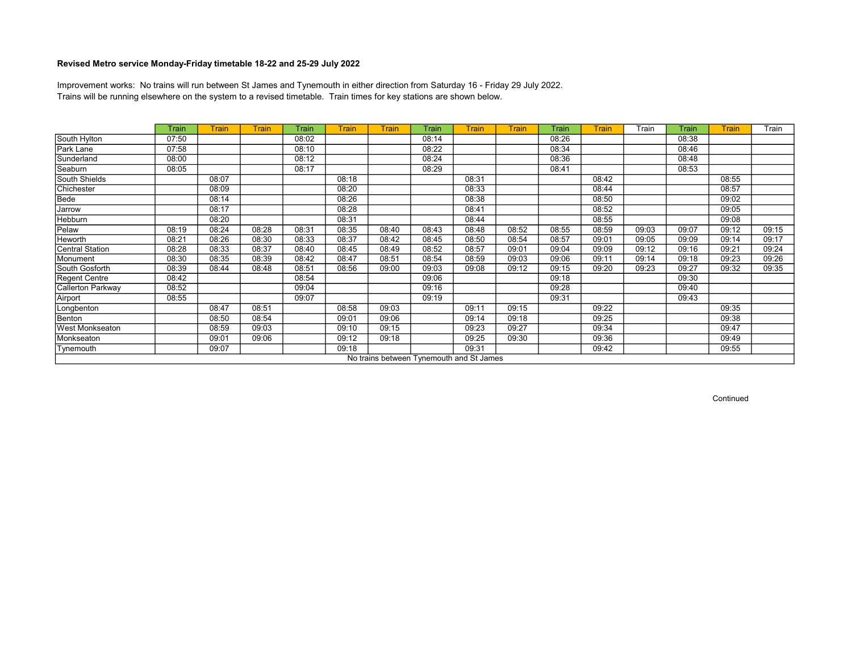Trains will be running elsewhere on the system to a revised timetable. Train times for key stations are shown below. Improvement works: No trains will run between St James and Tynemouth in either direction from Saturday 16 - Friday 29 July 2022.

|                        | Train | Train | <b>Train</b> | Train | <b>Train</b> | <b>Train</b> | Train | Train                                    | <b>Train</b> | Train | <b>Train</b> | Train | Train | <b>Train</b> | Train |
|------------------------|-------|-------|--------------|-------|--------------|--------------|-------|------------------------------------------|--------------|-------|--------------|-------|-------|--------------|-------|
| South Hylton           | 07:50 |       |              | 08:02 |              |              | 08:14 |                                          |              | 08:26 |              |       | 08:38 |              |       |
| Park Lane              | 07:58 |       |              | 08:10 |              |              | 08:22 |                                          |              | 08:34 |              |       | 08:46 |              |       |
| Sunderland             | 08:00 |       |              | 08:12 |              |              | 08:24 |                                          |              | 08:36 |              |       | 08:48 |              |       |
| Seaburn                | 08:05 |       |              | 08:17 |              |              | 08:29 |                                          |              | 08:41 |              |       | 08:53 |              |       |
| South Shields          |       | 08:07 |              |       | 08:18        |              |       | 08:31                                    |              |       | 08:42        |       |       | 08:55        |       |
| Chichester             |       | 08:09 |              |       | 08:20        |              |       | 08:33                                    |              |       | 08:44        |       |       | 08:57        |       |
| Bede                   |       | 08:14 |              |       | 08:26        |              |       | 08:38                                    |              |       | 08:50        |       |       | 09:02        |       |
| Jarrow                 |       | 08:17 |              |       | 08:28        |              |       | 08:41                                    |              |       | 08:52        |       |       | 09:05        |       |
| Hebburn                |       | 08:20 |              |       | 08:31        |              |       | 08:44                                    |              |       | 08:55        |       |       | 09:08        |       |
| Pelaw                  | 08:19 | 08:24 | 08:28        | 08:31 | 08:35        | 08:40        | 08:43 | 08:48                                    | 08:52        | 08:55 | 08:59        | 09:03 | 09:07 | 09:12        | 09:15 |
| Heworth                | 08:21 | 08:26 | 08:30        | 08:33 | 08:37        | 08:42        | 08:45 | 08:50                                    | 08:54        | 08:57 | 09:01        | 09:05 | 09:09 | 09:14        | 09:17 |
| Central Station        | 08:28 | 08:33 | 08:37        | 08:40 | 08:45        | 08:49        | 08:52 | 08:57                                    | 09:01        | 09:04 | 09:09        | 09:12 | 09:16 | 09:21        | 09:24 |
| Monument               | 08:30 | 08:35 | 08:39        | 08:42 | 08:47        | 08:51        | 08:54 | 08:59                                    | 09:03        | 09:06 | 09:11        | 09:14 | 09:18 | 09:23        | 09:26 |
| South Gosforth         | 08:39 | 08:44 | 08:48        | 08:51 | 08:56        | 09:00        | 09:03 | 09:08                                    | 09:12        | 09:15 | 09:20        | 09:23 | 09:27 | 09:32        | 09:35 |
| Regent Centre          | 08:42 |       |              | 08:54 |              |              | 09:06 |                                          |              | 09:18 |              |       | 09:30 |              |       |
| Callerton Parkway      | 08:52 |       |              | 09:04 |              |              | 09:16 |                                          |              | 09:28 |              |       | 09:40 |              |       |
| Airport                | 08:55 |       |              | 09:07 |              |              | 09:19 |                                          |              | 09:31 |              |       | 09:43 |              |       |
| Longbenton             |       | 08:47 | 08:51        |       | 08:58        | 09:03        |       | 09:11                                    | 09:15        |       | 09:22        |       |       | 09:35        |       |
| Benton                 |       | 08:50 | 08:54        |       | 09:01        | 09:06        |       | 09:14                                    | 09:18        |       | 09:25        |       |       | 09:38        |       |
| <b>West Monkseaton</b> |       | 08:59 | 09:03        |       | 09:10        | 09:15        |       | 09:23                                    | 09:27        |       | 09:34        |       |       | 09:47        |       |
| Monkseaton             |       | 09:01 | 09:06        |       | 09:12        | 09:18        |       | 09:25                                    | 09:30        |       | 09:36        |       |       | 09:49        |       |
| Tynemouth              |       | 09:07 |              |       | 09:18        |              |       | 09:31                                    |              |       | 09:42        |       |       | 09:55        |       |
|                        |       |       |              |       |              |              |       | No trains between Tynemouth and St James |              |       |              |       |       |              |       |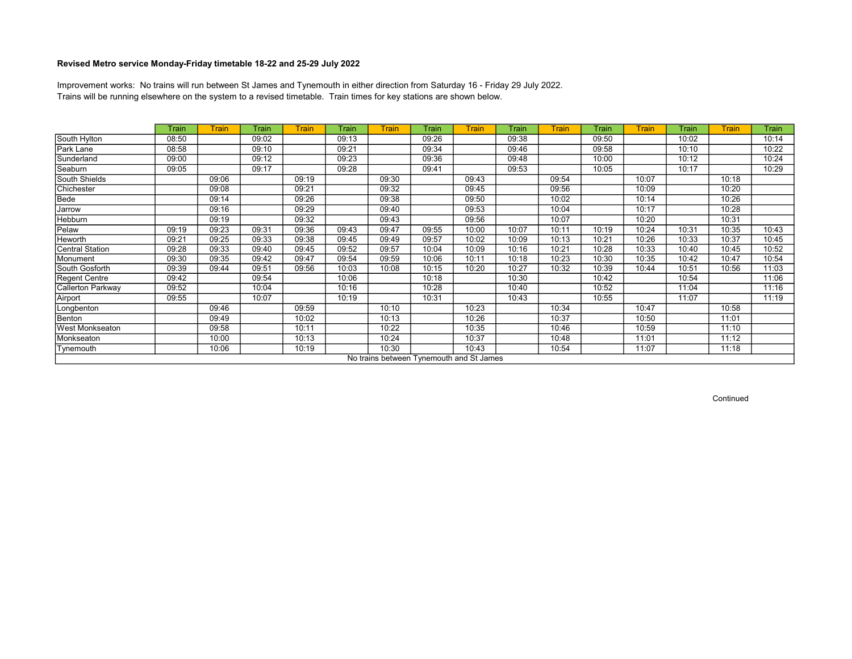Trains will be running elsewhere on the system to a revised timetable. Train times for key stations are shown below. Improvement works: No trains will run between St James and Tynemouth in either direction from Saturday 16 - Friday 29 July 2022.

|                   | Train | <b>Train</b> | Train | <b>Train</b> | Train | <b>Train</b> | Train | Train                                    | Train | <b>Train</b> | Train | <b>Train</b> | Train | <b>Train</b> | Train |
|-------------------|-------|--------------|-------|--------------|-------|--------------|-------|------------------------------------------|-------|--------------|-------|--------------|-------|--------------|-------|
| South Hylton      | 08:50 |              | 09:02 |              | 09:13 |              | 09:26 |                                          | 09:38 |              | 09:50 |              | 10:02 |              | 10:14 |
| Park Lane         | 08:58 |              | 09:10 |              | 09:21 |              | 09:34 |                                          | 09:46 |              | 09:58 |              | 10:10 |              | 10:22 |
| Sunderland        | 09:00 |              | 09:12 |              | 09:23 |              | 09:36 |                                          | 09:48 |              | 10:00 |              | 10:12 |              | 10:24 |
| Seaburn           | 09:05 |              | 09:17 |              | 09:28 |              | 09:41 |                                          | 09:53 |              | 10:05 |              | 10:17 |              | 10:29 |
| South Shields     |       | 09:06        |       | 09:19        |       | 09:30        |       | 09:43                                    |       | 09:54        |       | 10:07        |       | 10:18        |       |
| Chichester        |       | 09:08        |       | 09:21        |       | 09:32        |       | 09:45                                    |       | 09:56        |       | 10:09        |       | 10:20        |       |
| Bede              |       | 09:14        |       | 09:26        |       | 09:38        |       | 09:50                                    |       | 10:02        |       | 10:14        |       | 10:26        |       |
| Jarrow            |       | 09:16        |       | 09:29        |       | 09:40        |       | 09:53                                    |       | 10:04        |       | 10:17        |       | 10:28        |       |
| Hebburn           |       | 09:19        |       | 09:32        |       | 09:43        |       | 09:56                                    |       | 10:07        |       | 10:20        |       | 10:31        |       |
| Pelaw             | 09:19 | 09:23        | 09:31 | 09:36        | 09:43 | 09:47        | 09:55 | 10:00                                    | 10:07 | 10:11        | 10:19 | 10:24        | 10:31 | 10:35        | 10:43 |
| Heworth           | 09:21 | 09:25        | 09:33 | 09:38        | 09:45 | 09:49        | 09:57 | 10:02                                    | 10:09 | 10:13        | 10:21 | 10:26        | 10:33 | 10:37        | 10:45 |
| Central Station   | 09:28 | 09:33        | 09:40 | 09:45        | 09:52 | 09:57        | 10:04 | 10:09                                    | 10:16 | 10:21        | 10:28 | 10:33        | 10:40 | 10:45        | 10:52 |
| Monument          | 09:30 | 09:35        | 09:42 | 09:47        | 09:54 | 09:59        | 10:06 | 10:11                                    | 10:18 | 10:23        | 10:30 | 10:35        | 10:42 | 10:47        | 10:54 |
| South Gosforth    | 09:39 | 09:44        | 09:51 | 09:56        | 10:03 | 10:08        | 10:15 | 10:20                                    | 10:27 | 10:32        | 10:39 | 10:44        | 10:51 | 10:56        | 11:03 |
| Regent Centre     | 09:42 |              | 09:54 |              | 10:06 |              | 10:18 |                                          | 10:30 |              | 10:42 |              | 10:54 |              | 11:06 |
| Callerton Parkway | 09:52 |              | 10:04 |              | 10:16 |              | 10:28 |                                          | 10:40 |              | 10:52 |              | 11:04 |              | 11:16 |
| Airport           | 09:55 |              | 10:07 |              | 10:19 |              | 10:31 |                                          | 10:43 |              | 10:55 |              | 11:07 |              | 11:19 |
| Longbenton        |       | 09:46        |       | 09:59        |       | 10:10        |       | 10:23                                    |       | 10:34        |       | 10:47        |       | 10:58        |       |
| Benton            |       | 09:49        |       | 10:02        |       | 10:13        |       | 10:26                                    |       | 10:37        |       | 10:50        |       | 11:01        |       |
| West Monkseaton   |       | 09:58        |       | 10:11        |       | 10:22        |       | 10:35                                    |       | 10:46        |       | 10:59        |       | 11:10        |       |
| Monkseaton        |       | 10:00        |       | 10:13        |       | 10:24        |       | 10:37                                    |       | 10:48        |       | 11:01        |       | 11:12        |       |
| Tynemouth         |       | 10:06        |       | 10:19        |       | 10:30        |       | 10:43                                    |       | 10:54        |       | 11:07        |       | 11:18        |       |
|                   |       |              |       |              |       |              |       | No trains between Tynemouth and St James |       |              |       |              |       |              |       |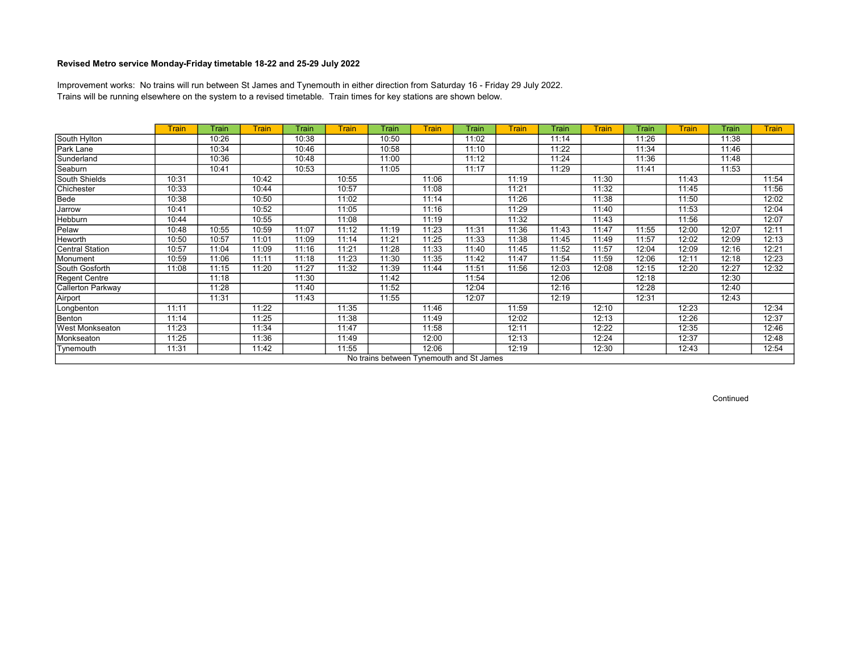Trains will be running elsewhere on the system to a revised timetable. Train times for key stations are shown below. Improvement works: No trains will run between St James and Tynemouth in either direction from Saturday 16 - Friday 29 July 2022.

|                          | <b>Train</b> | Train | Train | Train | <b>Train</b> | Train | <b>Train</b>                             | Train | Train | Train | <b>Train</b> | Train | Train | Train | <b>Train</b> |
|--------------------------|--------------|-------|-------|-------|--------------|-------|------------------------------------------|-------|-------|-------|--------------|-------|-------|-------|--------------|
| South Hylton             |              | 10:26 |       | 10:38 |              | 10:50 |                                          | 11:02 |       | 11:14 |              | 11:26 |       | 11:38 |              |
| Park Lane                |              | 10:34 |       | 10:46 |              | 10:58 |                                          | 11:10 |       | 11:22 |              | 11:34 |       | 11:46 |              |
| Sunderland               |              | 10:36 |       | 10:48 |              | 11:00 |                                          | 11:12 |       | 11:24 |              | 11:36 |       | 11:48 |              |
| Seaburn                  |              | 10:41 |       | 10:53 |              | 11:05 |                                          | 11:17 |       | 11:29 |              | 11:41 |       | 11:53 |              |
| South Shields            | 10:31        |       | 10:42 |       | 10:55        |       | 11:06                                    |       | 11:19 |       | 11:30        |       | 11:43 |       | 11:54        |
| Chichester               | 10:33        |       | 10:44 |       | 10:57        |       | 11:08                                    |       | 11:21 |       | 11:32        |       | 11:45 |       | 11:56        |
| Bede                     | 10:38        |       | 10:50 |       | 11:02        |       | 11:14                                    |       | 11:26 |       | 11:38        |       | 11:50 |       | 12:02        |
| Jarrow                   | 10:41        |       | 10:52 |       | 11:05        |       | 11:16                                    |       | 11:29 |       | 11:40        |       | 11:53 |       | 12:04        |
| <b>Hebburn</b>           | 10:44        |       | 10:55 |       | 11:08        |       | 11:19                                    |       | 11:32 |       | 11:43        |       | 11:56 |       | 12:07        |
| Pelaw                    | 10:48        | 10:55 | 10:59 | 11:07 | 11:12        | 11:19 | 11:23                                    | 11:31 | 11:36 | 11:43 | 11:47        | 11:55 | 12:00 | 12:07 | 12:11        |
| Heworth                  | 10:50        | 10:57 | 11:01 | 11:09 | 11:14        | 11:21 | 11:25                                    | 11:33 | 11:38 | 11:45 | 11:49        | 11:57 | 12:02 | 12:09 | 12:13        |
| Central Station          | 10:57        | 11:04 | 11:09 | 11:16 | 11:21        | 11:28 | 11:33                                    | 11:40 | 11:45 | 11:52 | 11:57        | 12:04 | 12:09 | 12:16 | 12:21        |
| Monument                 | 10:59        | 11:06 | 11:11 | 11:18 | 11:23        | 11:30 | 11:35                                    | 11:42 | 11:47 | 11:54 | 11:59        | 12:06 | 12:11 | 12:18 | 12:23        |
| South Gosforth           | 11:08        | 11:15 | 11:20 | 11:27 | 11:32        | 11:39 | 11:44                                    | 11:51 | 11:56 | 12:03 | 12:08        | 12:15 | 12:20 | 12:27 | 12:32        |
| Regent Centre            |              | 11:18 |       | 11:30 |              | 11:42 |                                          | 11:54 |       | 12:06 |              | 12:18 |       | 12:30 |              |
| <b>Callerton Parkway</b> |              | 11:28 |       | 11:40 |              | 11:52 |                                          | 12:04 |       | 12:16 |              | 12:28 |       | 12:40 |              |
| Airport                  |              | 11:31 |       | 11:43 |              | 11:55 |                                          | 12:07 |       | 12:19 |              | 12:31 |       | 12:43 |              |
| Longbenton               | 11:11        |       | 11:22 |       | 11:35        |       | 11:46                                    |       | 11:59 |       | 12:10        |       | 12:23 |       | 12:34        |
| Benton                   | 11:14        |       | 11:25 |       | 11:38        |       | 11:49                                    |       | 12:02 |       | 12:13        |       | 12:26 |       | 12:37        |
| <b>West Monkseaton</b>   | 11:23        |       | 11:34 |       | 11:47        |       | 11:58                                    |       | 12:11 |       | 12:22        |       | 12:35 |       | 12:46        |
| Monkseaton               | 11:25        |       | 11:36 |       | 11:49        |       | 12:00                                    |       | 12:13 |       | 12:24        |       | 12:37 |       | 12:48        |
| Tynemouth                | 11:31        |       | 11:42 |       | 11:55        |       | 12:06                                    |       | 12:19 |       | 12:30        |       | 12:43 |       | 12:54        |
|                          |              |       |       |       |              |       | No trains between Tynemouth and St James |       |       |       |              |       |       |       |              |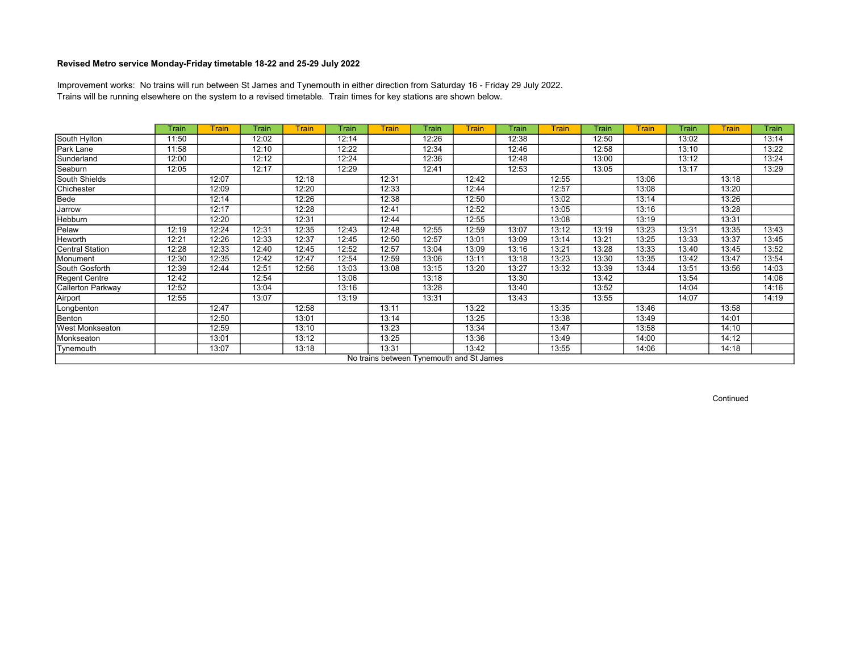Trains will be running elsewhere on the system to a revised timetable. Train times for key stations are shown below. Improvement works: No trains will run between St James and Tynemouth in either direction from Saturday 16 - Friday 29 July 2022.

|                   | Train | <b>Train</b> | Train | <b>Train</b> | Train | <b>Train</b> | Train                                    | Train | Train | <b>Train</b> | Train | <b>Train</b> | Train | <b>Train</b> | Train |
|-------------------|-------|--------------|-------|--------------|-------|--------------|------------------------------------------|-------|-------|--------------|-------|--------------|-------|--------------|-------|
| South Hylton      | 11:50 |              | 12:02 |              | 12:14 |              | 12:26                                    |       | 12:38 |              | 12:50 |              | 13:02 |              | 13:14 |
| Park Lane         | 11:58 |              | 12:10 |              | 12:22 |              | 12:34                                    |       | 12:46 |              | 12:58 |              | 13:10 |              | 13:22 |
| Sunderland        | 12:00 |              | 12:12 |              | 12:24 |              | 12:36                                    |       | 12:48 |              | 13:00 |              | 13:12 |              | 13:24 |
| Seaburn           | 12:05 |              | 12:17 |              | 12:29 |              | 12:41                                    |       | 12:53 |              | 13:05 |              | 13:17 |              | 13:29 |
| South Shields     |       | 12:07        |       | 12:18        |       | 12:31        |                                          | 12:42 |       | 12:55        |       | 13:06        |       | 13:18        |       |
| Chichester        |       | 12:09        |       | 12:20        |       | 12:33        |                                          | 12:44 |       | 12:57        |       | 13:08        |       | 13:20        |       |
| Bede              |       | 12:14        |       | 12:26        |       | 12:38        |                                          | 12:50 |       | 13:02        |       | 13:14        |       | 13:26        |       |
| Jarrow            |       | 12:17        |       | 12:28        |       | 12:41        |                                          | 12:52 |       | 13:05        |       | 13:16        |       | 13:28        |       |
| Hebburn           |       | 12:20        |       | 12:31        |       | 12:44        |                                          | 12:55 |       | 13:08        |       | 13:19        |       | 13:31        |       |
| Pelaw             | 12:19 | 12:24        | 12:31 | 12:35        | 12:43 | 12:48        | 12:55                                    | 12:59 | 13:07 | 13:12        | 13:19 | 13:23        | 13:31 | 13:35        | 13:43 |
| Heworth           | 12:21 | 12:26        | 12:33 | 12:37        | 12:45 | 12:50        | 12:57                                    | 13:01 | 13:09 | 13:14        | 13:21 | 13:25        | 13:33 | 13:37        | 13:45 |
| Central Station   | 12:28 | 12:33        | 12:40 | 12:45        | 12:52 | 12:57        | 13:04                                    | 13:09 | 13:16 | 13:21        | 13:28 | 13:33        | 13:40 | 13:45        | 13:52 |
| Monument          | 12:30 | 12:35        | 12:42 | 12:47        | 12:54 | 12:59        | 13:06                                    | 13:11 | 13:18 | 13:23        | 13:30 | 13:35        | 13:42 | 13:47        | 13:54 |
| South Gosforth    | 12:39 | 12:44        | 12:51 | 12:56        | 13:03 | 13:08        | 13:15                                    | 13:20 | 13:27 | 13:32        | 13:39 | 13:44        | 13:51 | 13:56        | 14:03 |
| Regent Centre     | 12:42 |              | 12:54 |              | 13:06 |              | 13:18                                    |       | 13:30 |              | 13:42 |              | 13:54 |              | 14:06 |
| Callerton Parkway | 12:52 |              | 13:04 |              | 13:16 |              | 13:28                                    |       | 13:40 |              | 13:52 |              | 14:04 |              | 14:16 |
| Airport           | 12:55 |              | 13:07 |              | 13:19 |              | 13:31                                    |       | 13:43 |              | 13:55 |              | 14:07 |              | 14:19 |
| Longbenton        |       | 12:47        |       | 12:58        |       | 13:11        |                                          | 13:22 |       | 13:35        |       | 13:46        |       | 13:58        |       |
| Benton            |       | 12:50        |       | 13:01        |       | 13:14        |                                          | 13:25 |       | 13:38        |       | 13:49        |       | 14:01        |       |
| West Monkseaton   |       | 12:59        |       | 13:10        |       | 13:23        |                                          | 13:34 |       | 13:47        |       | 13:58        |       | 14:10        |       |
| Monkseaton        |       | 13:01        |       | 13:12        |       | 13:25        |                                          | 13:36 |       | 13:49        |       | 14:00        |       | 14:12        |       |
| Tynemouth         |       | 13:07        |       | 13:18        |       | 13:31        |                                          | 13:42 |       | 13:55        |       | 14:06        |       | 14:18        |       |
|                   |       |              |       |              |       |              | No trains between Tynemouth and St James |       |       |              |       |              |       |              |       |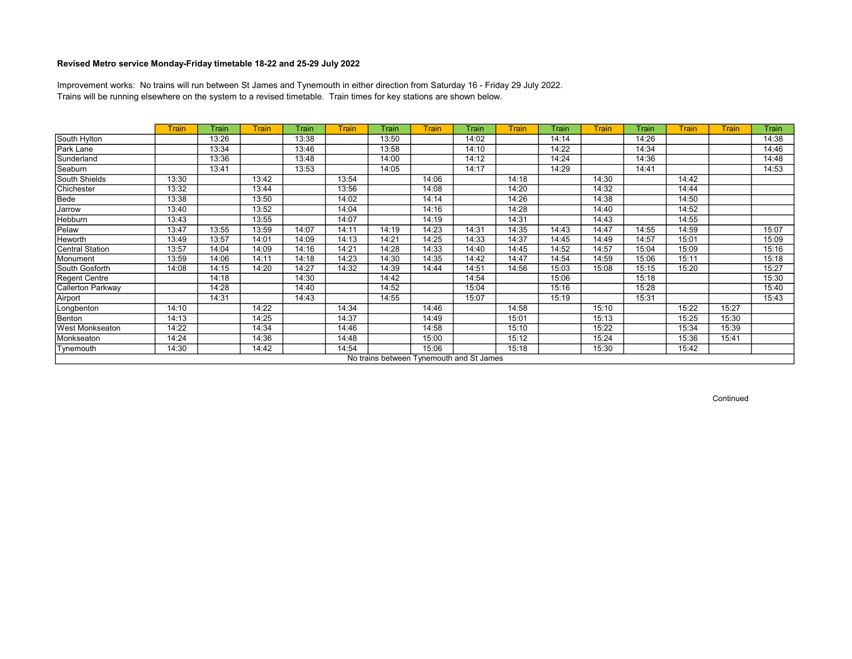Trains will be running elsewhere on the system to a revised timetable. Train times for key stations are shown below. Improvement works: No trains will run between St James and Tynemouth in either direction from Saturday 16 - Friday 29 July 2022.

|                   | <b>Train</b> | Train | Train | Train | <b>Train</b> | Train | Train                                    | Train | Train | Train | <b>Train</b> | Train | <b>Train</b> | <b>Train</b> | Train |
|-------------------|--------------|-------|-------|-------|--------------|-------|------------------------------------------|-------|-------|-------|--------------|-------|--------------|--------------|-------|
| South Hylton      |              | 13:26 |       | 13:38 |              | 13:50 |                                          | 14:02 |       | 14:14 |              | 14:26 |              |              | 14:38 |
| Park Lane         |              | 13:34 |       | 13:46 |              | 13:58 |                                          | 14:10 |       | 14:22 |              | 14:34 |              |              | 14:46 |
| Sunderland        |              | 13:36 |       | 13:48 |              | 14:00 |                                          | 14:12 |       | 14:24 |              | 14:36 |              |              | 14:48 |
| Seaburn           |              | 13:41 |       | 13:53 |              | 14:05 |                                          | 14:17 |       | 14:29 |              | 14:41 |              |              | 14:53 |
| South Shields     | 13:30        |       | 13:42 |       | 13:54        |       | 14:06                                    |       | 14:18 |       | 14:30        |       | 14:42        |              |       |
| Chichester        | 13:32        |       | 13:44 |       | 13:56        |       | 14:08                                    |       | 14:20 |       | 14:32        |       | 14:44        |              |       |
| Bede              | 13:38        |       | 13:50 |       | 14:02        |       | 14:14                                    |       | 14:26 |       | 14:38        |       | 14:50        |              |       |
| Jarrow            | 13:40        |       | 13:52 |       | 14:04        |       | 14:16                                    |       | 14:28 |       | 14:40        |       | 14:52        |              |       |
| Hebburn           | 13:43        |       | 13:55 |       | 14:07        |       | 14:19                                    |       | 14:31 |       | 14:43        |       | 14:55        |              |       |
| Pelaw             | 13:47        | 13:55 | 13:59 | 14:07 | 14:11        | 14:19 | 14:23                                    | 14:31 | 14:35 | 14:43 | 14:47        | 14:55 | 14:59        |              | 15:07 |
| Heworth           | 13:49        | 13:57 | 14:01 | 14:09 | 14:13        | 14:21 | 14:25                                    | 14:33 | 14:37 | 14:45 | 14:49        | 14:57 | 15:01        |              | 15:09 |
| Central Station   | 13:57        | 14:04 | 14:09 | 14:16 | 14:21        | 14:28 | 14:33                                    | 14:40 | 14:45 | 14:52 | 14:57        | 15:04 | 15:09        |              | 15:16 |
| Monument          | 13:59        | 14:06 | 14:11 | 14:18 | 14:23        | 14:30 | 14:35                                    | 14:42 | 14:47 | 14:54 | 14:59        | 15:06 | 15:11        |              | 15:18 |
| South Gosforth    | 14:08        | 14:15 | 14:20 | 14:27 | 14:32        | 14:39 | 14:44                                    | 14:51 | 14:56 | 15:03 | 15:08        | 15:15 | 15:20        |              | 15:27 |
| Regent Centre     |              | 14:18 |       | 14:30 |              | 14:42 |                                          | 14:54 |       | 15:06 |              | 15:18 |              |              | 15:30 |
| Callerton Parkway |              | 14:28 |       | 14:40 |              | 14:52 |                                          | 15:04 |       | 15:16 |              | 15:28 |              |              | 15:40 |
| Airport           |              | 14:31 |       | 14:43 |              | 14:55 |                                          | 15:07 |       | 15:19 |              | 15:31 |              |              | 15:43 |
| Longbenton        | 14:10        |       | 14:22 |       | 14:34        |       | 14:46                                    |       | 14:58 |       | 15:10        |       | 15:22        | 15:27        |       |
| Benton            | 14:13        |       | 14:25 |       | 14:37        |       | 14:49                                    |       | 15:01 |       | 15:13        |       | 15:25        | 15:30        |       |
| West Monkseaton   | 14:22        |       | 14:34 |       | 14:46        |       | 14:58                                    |       | 15:10 |       | 15:22        |       | 15:34        | 15:39        |       |
| Monkseaton        | 14:24        |       | 14:36 |       | 14:48        |       | 15:00                                    |       | 15:12 |       | 15:24        |       | 15:36        | 15:41        |       |
| Tynemouth         | 14:30        |       | 14:42 |       | 14:54        |       | 15:06                                    |       | 15:18 |       | 15:30        |       | 15:42        |              |       |
|                   |              |       |       |       |              |       | No trains between Tynemouth and St James |       |       |       |              |       |              |              |       |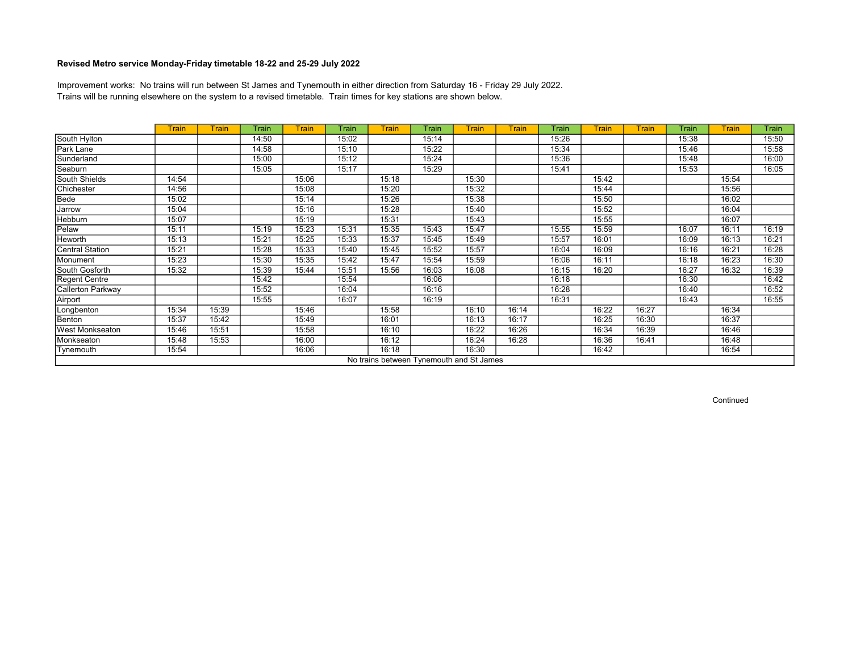Trains will be running elsewhere on the system to a revised timetable. Train times for key stations are shown below. Improvement works: No trains will run between St James and Tynemouth in either direction from Saturday 16 - Friday 29 July 2022.

|                        | <b>Train</b> | Train | Train | <b>Train</b> | Train | <b>Train</b> | Train                                    | Train | <b>Train</b> | Train | <b>Train</b> | <b>Train</b> | Train | <b>Train</b> | Train |
|------------------------|--------------|-------|-------|--------------|-------|--------------|------------------------------------------|-------|--------------|-------|--------------|--------------|-------|--------------|-------|
| South Hylton           |              |       | 14:50 |              | 15:02 |              | 15:14                                    |       |              | 15:26 |              |              | 15:38 |              | 15:50 |
| Park Lane              |              |       | 14:58 |              | 15:10 |              | 15:22                                    |       |              | 15:34 |              |              | 15:46 |              | 15:58 |
| Sunderland             |              |       | 15:00 |              | 15:12 |              | 15:24                                    |       |              | 15:36 |              |              | 15:48 |              | 16:00 |
| Seaburn                |              |       | 15:05 |              | 15:17 |              | 15:29                                    |       |              | 15:41 |              |              | 15:53 |              | 16:05 |
| South Shields          | 14:54        |       |       | 15:06        |       | 15:18        |                                          | 15:30 |              |       | 15:42        |              |       | 15:54        |       |
| Chichester             | 14:56        |       |       | 15:08        |       | 15:20        |                                          | 15:32 |              |       | 15:44        |              |       | 15:56        |       |
| Bede                   | 15:02        |       |       | 15:14        |       | 15:26        |                                          | 15:38 |              |       | 15:50        |              |       | 16:02        |       |
| Jarrow                 | 15:04        |       |       | 15:16        |       | 15:28        |                                          | 15:40 |              |       | 15:52        |              |       | 16:04        |       |
| Hebburn                | 15:07        |       |       | 15:19        |       | 15:31        |                                          | 15:43 |              |       | 15:55        |              |       | 16:07        |       |
| Pelaw                  | 15:11        |       | 15:19 | 15:23        | 15:31 | 15:35        | 15:43                                    | 15:47 |              | 15:55 | 15:59        |              | 16:07 | 16:11        | 16:19 |
| Heworth                | 15:13        |       | 15:21 | 15:25        | 15:33 | 15:37        | 15:45                                    | 15:49 |              | 15:57 | 16:01        |              | 16:09 | 16:13        | 16:21 |
| Central Station        | 15:21        |       | 15:28 | 15:33        | 15:40 | 15:45        | 15:52                                    | 15:57 |              | 16:04 | 16:09        |              | 16:16 | 16:21        | 16:28 |
| Monument               | 15:23        |       | 15:30 | 15:35        | 15:42 | 15:47        | 15:54                                    | 15:59 |              | 16:06 | 16:11        |              | 16:18 | 16:23        | 16:30 |
| South Gosforth         | 15:32        |       | 15:39 | 15:44        | 15:51 | 15:56        | 16:03                                    | 16:08 |              | 16:15 | 16:20        |              | 16:27 | 16:32        | 16:39 |
| Regent Centre          |              |       | 15:42 |              | 15:54 |              | 16:06                                    |       |              | 16:18 |              |              | 16:30 |              | 16:42 |
| Callerton Parkway      |              |       | 15:52 |              | 16:04 |              | 16:16                                    |       |              | 16:28 |              |              | 16:40 |              | 16:52 |
| Airport                |              |       | 15:55 |              | 16:07 |              | 16:19                                    |       |              | 16:31 |              |              | 16:43 |              | 16:55 |
| Longbenton             | 15:34        | 15:39 |       | 15:46        |       | 15:58        |                                          | 16:10 | 16:14        |       | 16:22        | 16:27        |       | 16:34        |       |
| Benton                 | 15:37        | 15:42 |       | 15:49        |       | 16:01        |                                          | 16:13 | 16:17        |       | 16:25        | 16:30        |       | 16:37        |       |
| <b>West Monkseaton</b> | 15:46        | 15:51 |       | 15:58        |       | 16:10        |                                          | 16:22 | 16:26        |       | 16:34        | 16:39        |       | 16:46        |       |
| Monkseaton             | 15:48        | 15:53 |       | 16:00        |       | 16:12        |                                          | 16:24 | 16:28        |       | 16:36        | 16:41        |       | 16:48        |       |
| Tynemouth              | 15:54        |       |       | 16:06        |       | 16:18        |                                          | 16:30 |              |       | 16:42        |              |       | 16:54        |       |
|                        |              |       |       |              |       |              | No trains between Tynemouth and St James |       |              |       |              |              |       |              |       |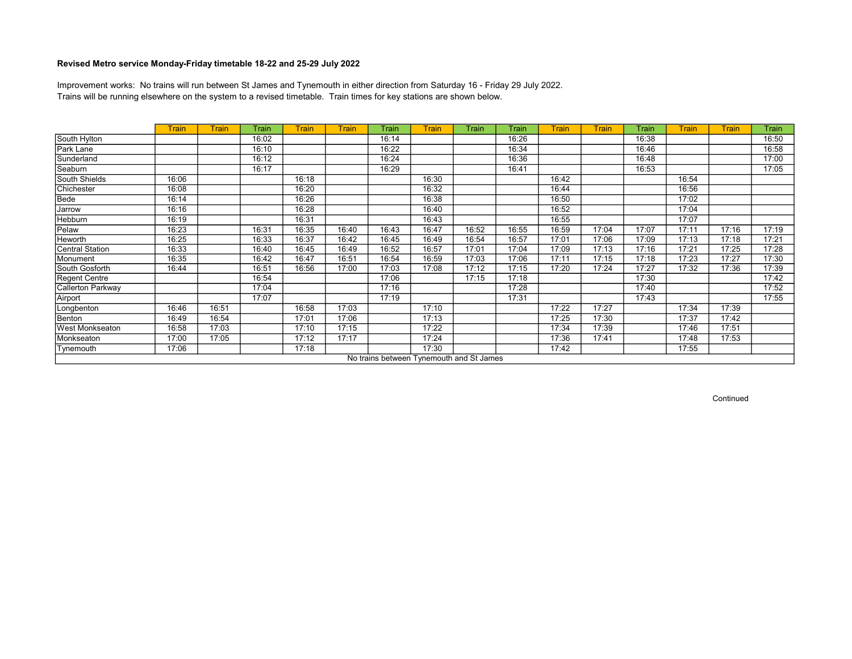Trains will be running elsewhere on the system to a revised timetable. Train times for key stations are shown below. Improvement works: No trains will run between St James and Tynemouth in either direction from Saturday 16 - Friday 29 July 2022.

|                        | Train | Train | <b>Train</b> | <b>Train</b> | <b>Train</b> | Train | Train                                    | Train | Train | <b>Train</b> | Train | Train | <b>Train</b> | <b>Train</b> | Train |
|------------------------|-------|-------|--------------|--------------|--------------|-------|------------------------------------------|-------|-------|--------------|-------|-------|--------------|--------------|-------|
| South Hylton           |       |       | 16:02        |              |              | 16:14 |                                          |       | 16:26 |              |       | 16:38 |              |              | 16:50 |
| Park Lane              |       |       | 16:10        |              |              | 16:22 |                                          |       | 16:34 |              |       | 16:46 |              |              | 16:58 |
| Sunderland             |       |       | 16:12        |              |              | 16:24 |                                          |       | 16:36 |              |       | 16:48 |              |              | 17:00 |
| Seaburn                |       |       | 16:17        |              |              | 16:29 |                                          |       | 16:41 |              |       | 16:53 |              |              | 17:05 |
| South Shields          | 16:06 |       |              | 16:18        |              |       | 16:30                                    |       |       | 16:42        |       |       | 16:54        |              |       |
| Chichester             | 16:08 |       |              | 16:20        |              |       | 16:32                                    |       |       | 16:44        |       |       | 16:56        |              |       |
| Bede                   | 16:14 |       |              | 16:26        |              |       | 16:38                                    |       |       | 16:50        |       |       | 17:02        |              |       |
| Jarrow                 | 16:16 |       |              | 16:28        |              |       | 16:40                                    |       |       | 16:52        |       |       | 17:04        |              |       |
| Hebburn                | 16:19 |       |              | 16:31        |              |       | 16:43                                    |       |       | 16:55        |       |       | 17:07        |              |       |
| Pelaw                  | 16:23 |       | 16:31        | 16:35        | 16:40        | 16:43 | 16:47                                    | 16:52 | 16:55 | 16:59        | 17:04 | 17:07 | 17:11        | 17:16        | 17:19 |
| Heworth                | 16:25 |       | 16:33        | 16:37        | 16:42        | 16:45 | 16:49                                    | 16:54 | 16:57 | 17:01        | 17:06 | 17:09 | 17:13        | 17:18        | 17:21 |
| Central Station        | 16:33 |       | 16:40        | 16:45        | 16:49        | 16:52 | 16:57                                    | 17:01 | 17:04 | 17:09        | 17:13 | 17:16 | 17:21        | 17:25        | 17:28 |
| Monument               | 16:35 |       | 16:42        | 16:47        | 16:51        | 16:54 | 16:59                                    | 17:03 | 17:06 | 17:11        | 17:15 | 17:18 | 17:23        | 17:27        | 17:30 |
| South Gosforth         | 16:44 |       | 16:51        | 16:56        | 17:00        | 17:03 | 17:08                                    | 17:12 | 17:15 | 17:20        | 17:24 | 17:27 | 17:32        | 17:36        | 17:39 |
| Regent Centre          |       |       | 16:54        |              |              | 17:06 |                                          | 17:15 | 17:18 |              |       | 17:30 |              |              | 17:42 |
| Callerton Parkway      |       |       | 17:04        |              |              | 17:16 |                                          |       | 17:28 |              |       | 17:40 |              |              | 17:52 |
| Airport                |       |       | 17:07        |              |              | 17:19 |                                          |       | 17:31 |              |       | 17:43 |              |              | 17:55 |
| Longbenton             | 16:46 | 16:51 |              | 16:58        | 17:03        |       | 17:10                                    |       |       | 17:22        | 17:27 |       | 17:34        | 17:39        |       |
| Benton                 | 16:49 | 16:54 |              | 17:01        | 17:06        |       | 17:13                                    |       |       | 17:25        | 17:30 |       | 17:37        | 17:42        |       |
| <b>West Monkseaton</b> | 16:58 | 17:03 |              | 17:10        | 17:15        |       | 17:22                                    |       |       | 17:34        | 17:39 |       | 17:46        | 17:51        |       |
| Monkseaton             | 17:00 | 17:05 |              | 17:12        | 17:17        |       | 17:24                                    |       |       | 17:36        | 17:41 |       | 17:48        | 17:53        |       |
| Tynemouth              | 17:06 |       |              | 17:18        |              |       | 17:30                                    |       |       | 17:42        |       |       | 17:55        |              |       |
|                        |       |       |              |              |              |       | No trains between Tynemouth and St James |       |       |              |       |       |              |              |       |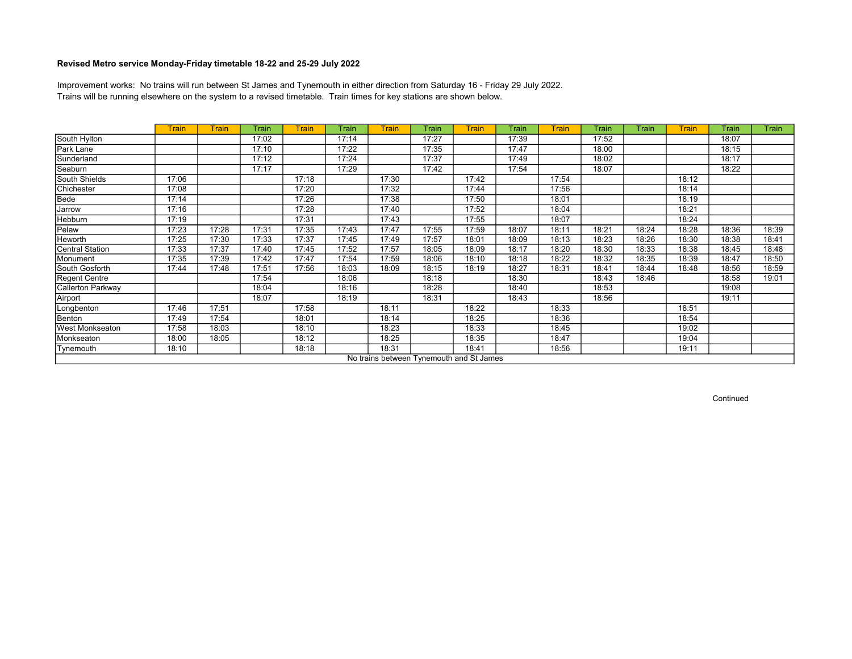Trains will be running elsewhere on the system to a revised timetable. Train times for key stations are shown below. Improvement works: No trains will run between St James and Tynemouth in either direction from Saturday 16 - Friday 29 July 2022.

|                   | <b>Train</b> | Train | Train | <b>Train</b> | Train | <b>Train</b> | Train | Train                                    | Train | <b>Train</b> | Train | Train | Train | Train | Train |
|-------------------|--------------|-------|-------|--------------|-------|--------------|-------|------------------------------------------|-------|--------------|-------|-------|-------|-------|-------|
| South Hylton      |              |       | 17:02 |              | 17:14 |              | 17:27 |                                          | 17:39 |              | 17:52 |       |       | 18:07 |       |
| Park Lane         |              |       | 17:10 |              | 17:22 |              | 17:35 |                                          | 17:47 |              | 18:00 |       |       | 18:15 |       |
| Sunderland        |              |       | 17:12 |              | 17:24 |              | 17:37 |                                          | 17:49 |              | 18:02 |       |       | 18:17 |       |
| Seaburn           |              |       | 17:17 |              | 17:29 |              | 17:42 |                                          | 17:54 |              | 18:07 |       |       | 18:22 |       |
| South Shields     | 17:06        |       |       | 17:18        |       | 17:30        |       | 17:42                                    |       | 17:54        |       |       | 18:12 |       |       |
| Chichester        | 17:08        |       |       | 17:20        |       | 17:32        |       | 17:44                                    |       | 17:56        |       |       | 18:14 |       |       |
| Bede              | 17:14        |       |       | 17:26        |       | 17:38        |       | 17:50                                    |       | 18:01        |       |       | 18:19 |       |       |
| Jarrow            | 17:16        |       |       | 17:28        |       | 17:40        |       | 17:52                                    |       | 18:04        |       |       | 18:21 |       |       |
| Hebburn           | 17:19        |       |       | 17:31        |       | 17:43        |       | 17:55                                    |       | 18:07        |       |       | 18:24 |       |       |
| Pelaw             | 17:23        | 17:28 | 17:31 | 17:35        | 17:43 | 17:47        | 17:55 | 17:59                                    | 18:07 | 18:11        | 18:21 | 18:24 | 18:28 | 18:36 | 18:39 |
| Heworth           | 17:25        | 17:30 | 17:33 | 17:37        | 17:45 | 17:49        | 17:57 | 18:01                                    | 18:09 | 18:13        | 18:23 | 18:26 | 18:30 | 18:38 | 18:41 |
| Central Station   | 17:33        | 17:37 | 17:40 | 17:45        | 17:52 | 17:57        | 18:05 | 18:09                                    | 18:17 | 18:20        | 18:30 | 18:33 | 18:38 | 18:45 | 18:48 |
| Monument          | 17:35        | 17:39 | 17:42 | 17:47        | 17:54 | 17:59        | 18:06 | 18:10                                    | 18:18 | 18:22        | 18:32 | 18:35 | 18:39 | 18:47 | 18:50 |
| South Gosforth    | 17:44        | 17:48 | 17:51 | 17:56        | 18:03 | 18:09        | 18:15 | 18:19                                    | 18:27 | 18:31        | 18:41 | 18:44 | 18:48 | 18:56 | 18:59 |
| Regent Centre     |              |       | 17:54 |              | 18:06 |              | 18:18 |                                          | 18:30 |              | 18:43 | 18:46 |       | 18:58 | 19:01 |
| Callerton Parkway |              |       | 18:04 |              | 18:16 |              | 18:28 |                                          | 18:40 |              | 18:53 |       |       | 19:08 |       |
| Airport           |              |       | 18:07 |              | 18:19 |              | 18:31 |                                          | 18:43 |              | 18:56 |       |       | 19:11 |       |
| Longbenton        | 17:46        | 17:51 |       | 17:58        |       | 18:11        |       | 18:22                                    |       | 18:33        |       |       | 18:51 |       |       |
| Benton            | 17:49        | 17:54 |       | 18:01        |       | 18:14        |       | 18:25                                    |       | 18:36        |       |       | 18:54 |       |       |
| West Monkseaton   | 17:58        | 18:03 |       | 18:10        |       | 18:23        |       | 18:33                                    |       | 18:45        |       |       | 19:02 |       |       |
| Monkseaton        | 18:00        | 18:05 |       | 18:12        |       | 18:25        |       | 18:35                                    |       | 18:47        |       |       | 19:04 |       |       |
| Tynemouth         | 18:10        |       |       | 18:18        |       | 18:31        |       | 18:41                                    |       | 18:56        |       |       | 19:11 |       |       |
|                   |              |       |       |              |       |              |       | No trains between Tynemouth and St James |       |              |       |       |       |       |       |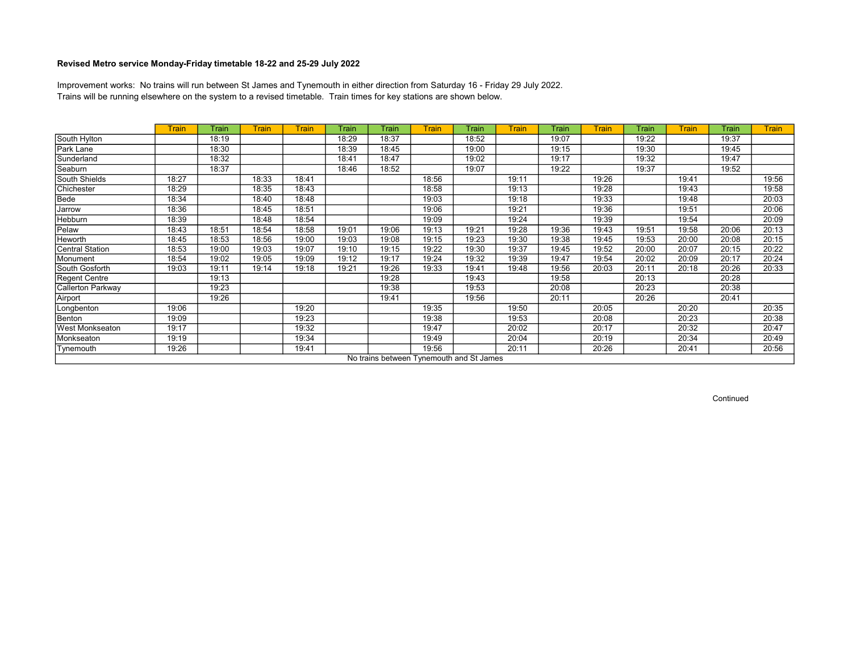Trains will be running elsewhere on the system to a revised timetable. Train times for key stations are shown below. Improvement works: No trains will run between St James and Tynemouth in either direction from Saturday 16 - Friday 29 July 2022.

|                        | <b>Train</b> | Train | <b>Train</b> | <b>Train</b> | Train | Train | Train                                    | Train | <b>Train</b> | Train | <b>Train</b> | Train | <b>Train</b> | Train | <b>Train</b> |
|------------------------|--------------|-------|--------------|--------------|-------|-------|------------------------------------------|-------|--------------|-------|--------------|-------|--------------|-------|--------------|
| South Hylton           |              | 18:19 |              |              | 18:29 | 18:37 |                                          | 18:52 |              | 19:07 |              | 19:22 |              | 19:37 |              |
| Park Lane              |              | 18:30 |              |              | 18:39 | 18:45 |                                          | 19:00 |              | 19:15 |              | 19:30 |              | 19:45 |              |
| Sunderland             |              | 18:32 |              |              | 18:41 | 18:47 |                                          | 19:02 |              | 19:17 |              | 19:32 |              | 19:47 |              |
| Seaburn                |              | 18:37 |              |              | 18:46 | 18:52 |                                          | 19:07 |              | 19:22 |              | 19:37 |              | 19:52 |              |
| South Shields          | 18:27        |       | 18:33        | 18:41        |       |       | 18:56                                    |       | 19:11        |       | 19:26        |       | 19:41        |       | 19:56        |
| Chichester             | 18:29        |       | 18:35        | 18:43        |       |       | 18:58                                    |       | 19:13        |       | 19:28        |       | 19:43        |       | 19:58        |
| Bede                   | 18:34        |       | 18:40        | 18:48        |       |       | 19:03                                    |       | 19:18        |       | 19:33        |       | 19:48        |       | 20:03        |
| Jarrow                 | 18:36        |       | 18:45        | 18:51        |       |       | 19:06                                    |       | 19:21        |       | 19:36        |       | 19:51        |       | 20:06        |
| Hebburn                | 18:39        |       | 18:48        | 18:54        |       |       | 19:09                                    |       | 19:24        |       | 19:39        |       | 19:54        |       | 20:09        |
| Pelaw                  | 18:43        | 18:51 | 18:54        | 18:58        | 19:01 | 19:06 | 19:13                                    | 19:21 | 19:28        | 19:36 | 19:43        | 19:51 | 19:58        | 20:06 | 20:13        |
| Heworth                | 18:45        | 18:53 | 18:56        | 19:00        | 19:03 | 19:08 | 19:15                                    | 19:23 | 19:30        | 19:38 | 19:45        | 19:53 | 20:00        | 20:08 | 20:15        |
| Central Station        | 18:53        | 19:00 | 19:03        | 19:07        | 19:10 | 19:15 | 19:22                                    | 19:30 | 19:37        | 19:45 | 19:52        | 20:00 | 20:07        | 20:15 | 20:22        |
| Monument               | 18:54        | 19:02 | 19:05        | 19:09        | 19:12 | 19:17 | 19:24                                    | 19:32 | 19:39        | 19:47 | 19:54        | 20:02 | 20:09        | 20:17 | 20:24        |
| South Gosforth         | 19:03        | 19:11 | 19:14        | 19:18        | 19:21 | 19:26 | 19:33                                    | 19:41 | 19:48        | 19:56 | 20:03        | 20:11 | 20:18        | 20:26 | 20:33        |
| Regent Centre          |              | 19:13 |              |              |       | 19:28 |                                          | 19:43 |              | 19:58 |              | 20:13 |              | 20:28 |              |
| Callerton Parkway      |              | 19:23 |              |              |       | 19:38 |                                          | 19:53 |              | 20:08 |              | 20:23 |              | 20:38 |              |
| Airport                |              | 19:26 |              |              |       | 19:41 |                                          | 19:56 |              | 20:11 |              | 20:26 |              | 20:41 |              |
| Longbenton             | 19:06        |       |              | 19:20        |       |       | 19:35                                    |       | 19:50        |       | 20:05        |       | 20:20        |       | 20:35        |
| Benton                 | 19:09        |       |              | 19:23        |       |       | 19:38                                    |       | 19:53        |       | 20:08        |       | 20:23        |       | 20:38        |
| <b>West Monkseaton</b> | 19:17        |       |              | 19:32        |       |       | 19:47                                    |       | 20:02        |       | 20:17        |       | 20:32        |       | 20:47        |
| Monkseaton             | 19:19        |       |              | 19:34        |       |       | 19:49                                    |       | 20:04        |       | 20:19        |       | 20:34        |       | 20:49        |
| Tynemouth              | 19:26        |       |              | 19:41        |       |       | 19:56                                    |       | 20:11        |       | 20:26        |       | 20:41        |       | 20:56        |
|                        |              |       |              |              |       |       | No trains between Tynemouth and St James |       |              |       |              |       |              |       |              |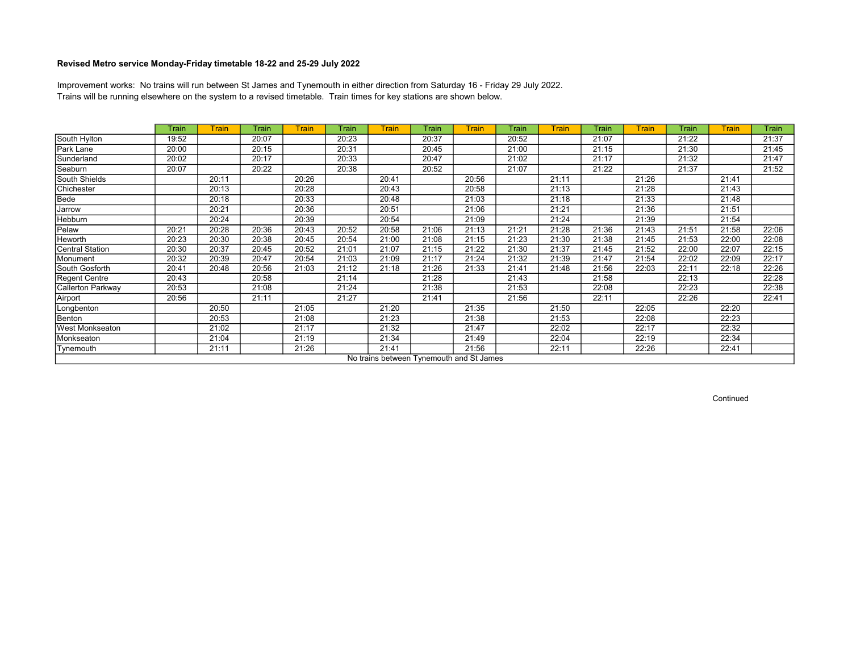Trains will be running elsewhere on the system to a revised timetable. Train times for key stations are shown below. Improvement works: No trains will run between St James and Tynemouth in either direction from Saturday 16 - Friday 29 July 2022.

|                   | Train | Train | Train | Train | Train | <b>Train</b> | Train                                    | Train | Train | <b>Train</b> | Train | Train | Train | Train | Train |
|-------------------|-------|-------|-------|-------|-------|--------------|------------------------------------------|-------|-------|--------------|-------|-------|-------|-------|-------|
| South Hylton      | 19:52 |       | 20:07 |       | 20:23 |              | 20:37                                    |       | 20:52 |              | 21:07 |       | 21:22 |       | 21:37 |
| Park Lane         | 20:00 |       | 20:15 |       | 20:31 |              | 20:45                                    |       | 21:00 |              | 21:15 |       | 21:30 |       | 21:45 |
| Sunderland        | 20:02 |       | 20:17 |       | 20:33 |              | 20:47                                    |       | 21:02 |              | 21:17 |       | 21:32 |       | 21:47 |
| Seaburn           | 20:07 |       | 20:22 |       | 20:38 |              | 20:52                                    |       | 21:07 |              | 21:22 |       | 21:37 |       | 21:52 |
| South Shields     |       | 20:11 |       | 20:26 |       | 20:41        |                                          | 20:56 |       | 21:11        |       | 21:26 |       | 21:41 |       |
| Chichester        |       | 20:13 |       | 20:28 |       | 20:43        |                                          | 20:58 |       | 21:13        |       | 21:28 |       | 21:43 |       |
| Bede              |       | 20:18 |       | 20:33 |       | 20:48        |                                          | 21:03 |       | 21:18        |       | 21:33 |       | 21:48 |       |
| Jarrow            |       | 20:21 |       | 20:36 |       | 20:51        |                                          | 21:06 |       | 21:21        |       | 21:36 |       | 21:51 |       |
| Hebburn           |       | 20:24 |       | 20:39 |       | 20:54        |                                          | 21:09 |       | 21:24        |       | 21:39 |       | 21:54 |       |
| Pelaw             | 20:21 | 20:28 | 20:36 | 20:43 | 20:52 | 20:58        | 21:06                                    | 21:13 | 21:21 | 21:28        | 21:36 | 21:43 | 21:51 | 21:58 | 22:06 |
| <b>Heworth</b>    | 20:23 | 20:30 | 20:38 | 20:45 | 20:54 | 21:00        | 21:08                                    | 21:15 | 21:23 | 21:30        | 21:38 | 21:45 | 21:53 | 22:00 | 22:08 |
| Central Station   | 20:30 | 20:37 | 20:45 | 20:52 | 21:01 | 21:07        | 21:15                                    | 21:22 | 21:30 | 21:37        | 21:45 | 21:52 | 22:00 | 22:07 | 22:15 |
| Monument          | 20:32 | 20:39 | 20:47 | 20:54 | 21:03 | 21:09        | 21:17                                    | 21:24 | 21:32 | 21:39        | 21:47 | 21:54 | 22:02 | 22:09 | 22:17 |
| South Gosforth    | 20:41 | 20:48 | 20:56 | 21:03 | 21:12 | 21:18        | 21:26                                    | 21:33 | 21:41 | 21:48        | 21:56 | 22:03 | 22:11 | 22:18 | 22:26 |
| Regent Centre     | 20:43 |       | 20:58 |       | 21:14 |              | 21:28                                    |       | 21:43 |              | 21:58 |       | 22:13 |       | 22:28 |
| Callerton Parkway | 20:53 |       | 21:08 |       | 21:24 |              | 21:38                                    |       | 21:53 |              | 22:08 |       | 22:23 |       | 22:38 |
| Airport           | 20:56 |       | 21:11 |       | 21:27 |              | 21:41                                    |       | 21:56 |              | 22:11 |       | 22:26 |       | 22:41 |
| Longbenton        |       | 20:50 |       | 21:05 |       | 21:20        |                                          | 21:35 |       | 21:50        |       | 22:05 |       | 22:20 |       |
| Benton            |       | 20:53 |       | 21:08 |       | 21:23        |                                          | 21:38 |       | 21:53        |       | 22:08 |       | 22:23 |       |
| West Monkseaton   |       | 21:02 |       | 21:17 |       | 21:32        |                                          | 21:47 |       | 22:02        |       | 22:17 |       | 22:32 |       |
| Monkseaton        |       | 21:04 |       | 21:19 |       | 21:34        |                                          | 21:49 |       | 22:04        |       | 22:19 |       | 22:34 |       |
| Tynemouth         |       | 21:11 |       | 21:26 |       | 21:41        |                                          | 21:56 |       | 22:11        |       | 22:26 |       | 22:41 |       |
|                   |       |       |       |       |       |              | No trains between Tynemouth and St James |       |       |              |       |       |       |       |       |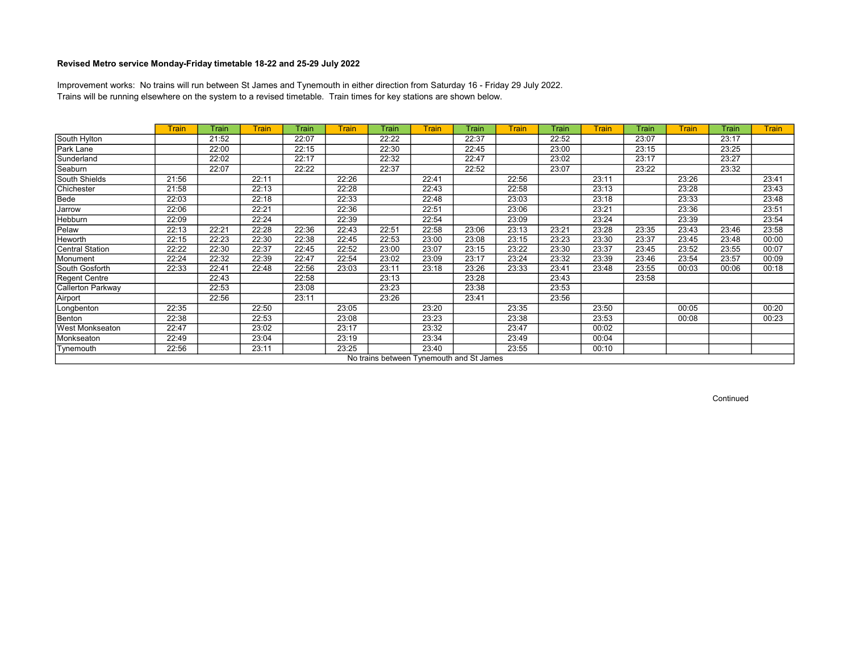Trains will be running elsewhere on the system to a revised timetable. Train times for key stations are shown below. Improvement works: No trains will run between St James and Tynemouth in either direction from Saturday 16 - Friday 29 July 2022.

|                                          | Train | Train | Train | Train | <b>Train</b> | Train | Train | Train | Train | Train | <b>Train</b> | Train | Train | Train | <b>Train</b> |
|------------------------------------------|-------|-------|-------|-------|--------------|-------|-------|-------|-------|-------|--------------|-------|-------|-------|--------------|
| South Hylton                             |       | 21:52 |       | 22:07 |              | 22:22 |       | 22:37 |       | 22:52 |              | 23:07 |       | 23:17 |              |
| Park Lane                                |       | 22:00 |       | 22:15 |              | 22:30 |       | 22:45 |       | 23:00 |              | 23:15 |       | 23:25 |              |
| Sunderland                               |       | 22:02 |       | 22:17 |              | 22:32 |       | 22:47 |       | 23:02 |              | 23:17 |       | 23:27 |              |
| Seaburn                                  |       | 22:07 |       | 22:22 |              | 22:37 |       | 22:52 |       | 23:07 |              | 23:22 |       | 23:32 |              |
| South Shields                            | 21:56 |       | 22:11 |       | 22:26        |       | 22:41 |       | 22:56 |       | 23:11        |       | 23:26 |       | 23:41        |
| Chichester                               | 21:58 |       | 22:13 |       | 22:28        |       | 22:43 |       | 22:58 |       | 23:13        |       | 23:28 |       | 23:43        |
| Bede                                     | 22:03 |       | 22:18 |       | 22:33        |       | 22:48 |       | 23:03 |       | 23:18        |       | 23:33 |       | 23:48        |
| Jarrow                                   | 22:06 |       | 22:21 |       | 22:36        |       | 22:51 |       | 23:06 |       | 23:21        |       | 23:36 |       | 23:51        |
| <b>Hebburn</b>                           | 22:09 |       | 22:24 |       | 22:39        |       | 22:54 |       | 23:09 |       | 23:24        |       | 23:39 |       | 23:54        |
| Pelaw                                    | 22:13 | 22:21 | 22:28 | 22:36 | 22:43        | 22:51 | 22:58 | 23:06 | 23:13 | 23:21 | 23:28        | 23:35 | 23:43 | 23:46 | 23:58        |
| <b>Heworth</b>                           | 22:15 | 22:23 | 22:30 | 22:38 | 22:45        | 22:53 | 23:00 | 23:08 | 23:15 | 23:23 | 23:30        | 23:37 | 23:45 | 23:48 | 00:00        |
| Central Station                          | 22:22 | 22:30 | 22:37 | 22:45 | 22:52        | 23:00 | 23:07 | 23:15 | 23:22 | 23:30 | 23:37        | 23:45 | 23:52 | 23:55 | 00:07        |
| Monument                                 | 22:24 | 22:32 | 22:39 | 22:47 | 22:54        | 23:02 | 23:09 | 23:17 | 23:24 | 23:32 | 23:39        | 23:46 | 23:54 | 23:57 | 00:09        |
| South Gosforth                           | 22:33 | 22:41 | 22:48 | 22:56 | 23:03        | 23:11 | 23:18 | 23:26 | 23:33 | 23:41 | 23:48        | 23:55 | 00:03 | 00:06 | 00:18        |
| Regent Centre                            |       | 22:43 |       | 22:58 |              | 23:13 |       | 23:28 |       | 23:43 |              | 23:58 |       |       |              |
| Callerton Parkway                        |       | 22:53 |       | 23:08 |              | 23:23 |       | 23:38 |       | 23:53 |              |       |       |       |              |
| Airport                                  |       | 22:56 |       | 23:11 |              | 23:26 |       | 23:41 |       | 23:56 |              |       |       |       |              |
| Longbenton                               | 22:35 |       | 22:50 |       | 23:05        |       | 23:20 |       | 23:35 |       | 23:50        |       | 00:05 |       | 00:20        |
| Benton                                   | 22:38 |       | 22:53 |       | 23:08        |       | 23:23 |       | 23:38 |       | 23:53        |       | 00:08 |       | 00:23        |
| <b>West Monkseaton</b>                   | 22:47 |       | 23:02 |       | 23:17        |       | 23:32 |       | 23:47 |       | 00:02        |       |       |       |              |
| Monkseaton                               | 22:49 |       | 23:04 |       | 23:19        |       | 23:34 |       | 23:49 |       | 00:04        |       |       |       |              |
| Tynemouth                                | 22:56 |       | 23:11 |       | 23:25        |       | 23:40 |       | 23:55 |       | 00:10        |       |       |       |              |
| No trains between Tynemouth and St James |       |       |       |       |              |       |       |       |       |       |              |       |       |       |              |